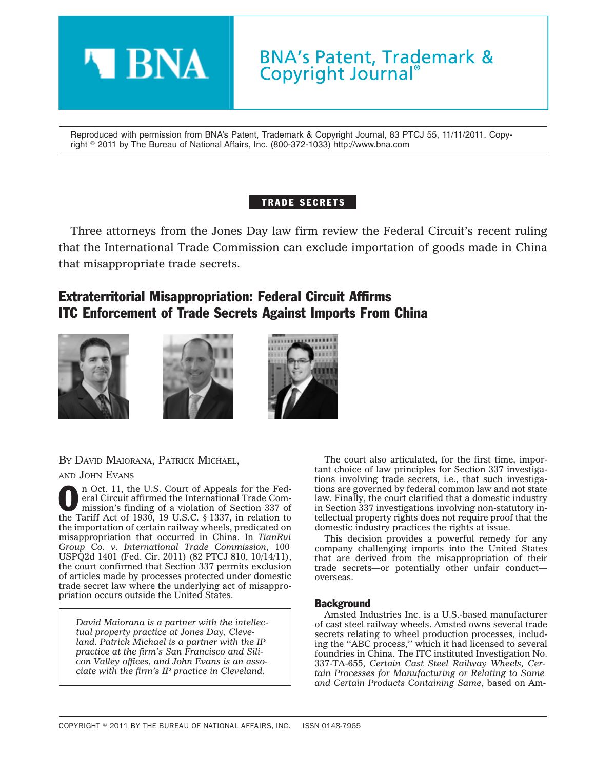

Reproduced with permission from BNA's Patent, Trademark & Copyright Journal, 83 PTCJ 55, 11/11/2011. Copyright - 2011 by The Bureau of National Affairs, Inc. (800-372-1033) http://www.bna.com

## TRADE SECRETS

Three attorneys from the Jones Day law firm review the Federal Circuit's recent ruling that the International Trade Commission can exclude importation of goods made in China that misappropriate trade secrets.

# Extraterritorial Misappropriation: Federal Circuit Affirms ITC Enforcement of Trade Secrets Against Imports From China







BY DAVID MAIORANA, PATRICK MICHAEL,

AND JOHN EVANS

**O n** Oct. 11, the U.S. Court of Appeals for the Federal Circuit affirmed the International Trade Commission's finding of a violation of Section 337 of eral Circuit affirmed the International Trade Commission's finding of a violation of Section 337 of the Tariff Act of 1930, 19 U.S.C. § 1337, in relation to the importation of certain railway wheels, predicated on misappropriation that occurred in China. In *TianRui Group Co. v. International Trade Commission*, 100 USPQ2d 1401 (Fed. Cir. 2011) (82 PTCJ 810, 10/14/11), the court confirmed that Section 337 permits exclusion of articles made by processes protected under domestic trade secret law where the underlying act of misappropriation occurs outside the United States.

*David Maiorana is a partner with the intellectual property practice at Jones Day, Cleveland. Patrick Michael is a partner with the IP practice at the firm's San Francisco and Silicon Valley offices, and John Evans is an associate with the firm's IP practice in Cleveland.*

The court also articulated, for the first time, important choice of law principles for Section 337 investigations involving trade secrets, i.e., that such investigations are governed by federal common law and not state law. Finally, the court clarified that a domestic industry in Section 337 investigations involving non-statutory intellectual property rights does not require proof that the domestic industry practices the rights at issue.

This decision provides a powerful remedy for any company challenging imports into the United States that are derived from the misappropriation of their trade secrets—or potentially other unfair conduct overseas.

### **Background**

Amsted Industries Inc. is a U.S.-based manufacturer of cast steel railway wheels. Amsted owns several trade secrets relating to wheel production processes, including the ''ABC process,'' which it had licensed to several foundries in China. The ITC instituted Investigation No. 337-TA-655, *Certain Cast Steel Railway Wheels, Certain Processes for Manufacturing or Relating to Same and Certain Products Containing Same*, based on Am-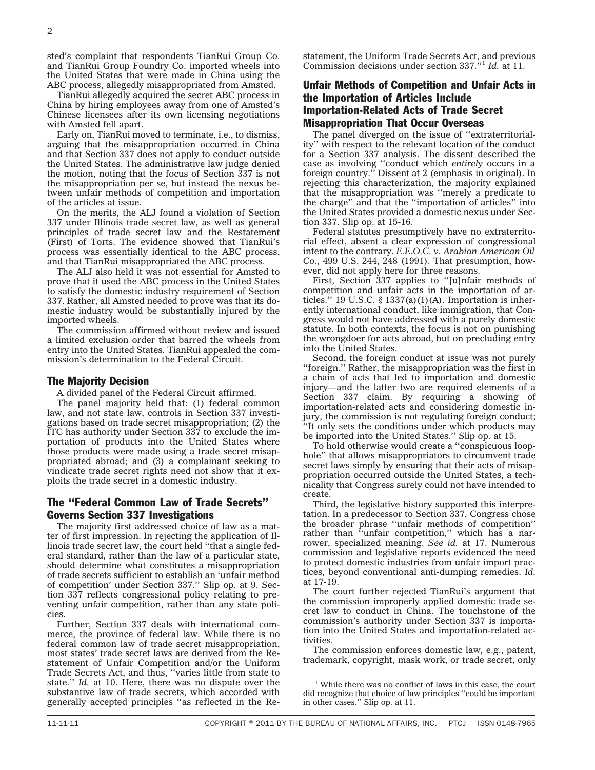sted's complaint that respondents TianRui Group Co. and TianRui Group Foundry Co. imported wheels into the United States that were made in China using the ABC process, allegedly misappropriated from Amsted.

TianRui allegedly acquired the secret ABC process in China by hiring employees away from one of Amsted's Chinese licensees after its own licensing negotiations with Amsted fell apart.

Early on, TianRui moved to terminate, i.e., to dismiss, arguing that the misappropriation occurred in China and that Section 337 does not apply to conduct outside the United States. The administrative law judge denied the motion, noting that the focus of Section 337 is not the misappropriation per se, but instead the nexus between unfair methods of competition and importation of the articles at issue.

On the merits, the ALJ found a violation of Section 337 under Illinois trade secret law, as well as general principles of trade secret law and the Restatement (First) of Torts. The evidence showed that TianRui's process was essentially identical to the ABC process, and that TianRui misappropriated the ABC process.

The ALJ also held it was not essential for Amsted to prove that it used the ABC process in the United States to satisfy the domestic industry requirement of Section 337. Rather, all Amsted needed to prove was that its domestic industry would be substantially injured by the imported wheels.

The commission affirmed without review and issued a limited exclusion order that barred the wheels from entry into the United States. TianRui appealed the commission's determination to the Federal Circuit.

#### The Majority Decision

A divided panel of the Federal Circuit affirmed.

The panel majority held that: (1) federal common law, and not state law, controls in Section 337 investigations based on trade secret misappropriation; (2) the ITC has authority under Section 337 to exclude the importation of products into the United States where those products were made using a trade secret misappropriated abroad; and (3) a complainant seeking to vindicate trade secret rights need not show that it exploits the trade secret in a domestic industry.

#### The ''Federal Common Law of Trade Secrets'' Governs Section 337 Investigations

The majority first addressed choice of law as a matter of first impression. In rejecting the application of Illinois trade secret law, the court held ''that a single federal standard, rather than the law of a particular state, should determine what constitutes a misappropriation of trade secrets sufficient to establish an 'unfair method of competition' under Section 337.'' Slip op*.* at 9. Section 337 reflects congressional policy relating to preventing unfair competition, rather than any state policies.

Further, Section 337 deals with international commerce, the province of federal law. While there is no federal common law of trade secret misappropriation, most states' trade secret laws are derived from the Restatement of Unfair Competition and/or the Uniform Trade Secrets Act, and thus, ''varies little from state to state.'' *Id.* at 10. Here, there was no dispute over the substantive law of trade secrets, which accorded with generally accepted principles ''as reflected in the Restatement, the Uniform Trade Secrets Act, and previous Commission decisions under section 337.''1 *Id.* at 11.

## Unfair Methods of Competition and Unfair Acts in the Importation of Articles Include Importation-Related Acts of Trade Secret Misappropriation That Occur Overseas

The panel diverged on the issue of ''extraterritoriality'' with respect to the relevant location of the conduct for a Section 337 analysis. The dissent described the case as involving ''conduct which *entirely* occurs in a foreign country.'' Dissent at 2 (emphasis in original). In rejecting this characterization, the majority explained that the misappropriation was ''merely a predicate to the charge'' and that the ''importation of articles'' into the United States provided a domestic nexus under Section 337. Slip op. at 15-16.

Federal statutes presumptively have no extraterritorial effect, absent a clear expression of congressional intent to the contrary. *E.E.O.C. v. Arabian American Oil Co*., 499 U.S. 244, 248 (1991). That presumption, however, did not apply here for three reasons.

First, Section 337 applies to ''[u]nfair methods of competition and unfair acts in the importation of articles." 19 U.S.C.  $\S$  1337(a)(1)(A). Importation is inherently international conduct, like immigration, that Congress would not have addressed with a purely domestic statute. In both contexts, the focus is not on punishing the wrongdoer for acts abroad, but on precluding entry into the United States.

Second, the foreign conduct at issue was not purely ''foreign.'' Rather, the misappropriation was the first in a chain of acts that led to importation and domestic injury—and the latter two are required elements of a Section 337 claim. By requiring a showing of importation-related acts and considering domestic injury, the commission is not regulating foreign conduct; ''It only sets the conditions under which products may be imported into the United States.'' Slip op. at 15.

To hold otherwise would create a ''conspicuous loophole'' that allows misappropriators to circumvent trade secret laws simply by ensuring that their acts of misappropriation occurred outside the United States, a technicality that Congress surely could not have intended to create.

Third, the legislative history supported this interpretation. In a predecessor to Section 337, Congress chose the broader phrase ''unfair methods of competition'' rather than "unfair competition," which has a narrower, specialized meaning. *See id.* at 17. Numerous commission and legislative reports evidenced the need to protect domestic industries from unfair import practices, beyond conventional anti-dumping remedies. *Id.* at 17-19.

The court further rejected TianRui's argument that the commission improperly applied domestic trade secret law to conduct in China. The touchstone of the commission's authority under Section 337 is importation into the United States and importation-related activities.

The commission enforces domestic law, e.g., patent, trademark, copyright, mask work, or trade secret, only

<sup>&</sup>lt;sup>1</sup> While there was no conflict of laws in this case, the court did recognize that choice of law principles ''could be important in other cases.'' Slip op. at 11.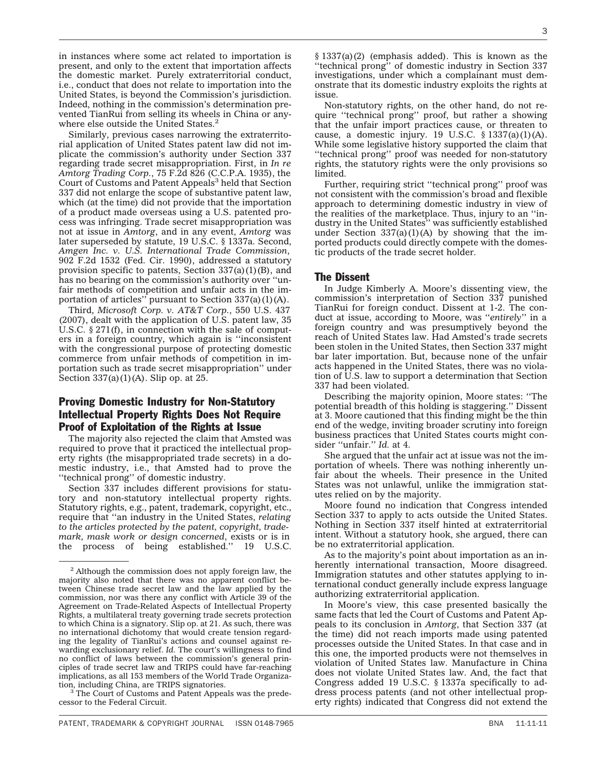in instances where some act related to importation is present, and only to the extent that importation affects the domestic market. Purely extraterritorial conduct, i.e., conduct that does not relate to importation into the United States, is beyond the Commission's jurisdiction. Indeed, nothing in the commission's determination prevented TianRui from selling its wheels in China or anywhere else outside the United States.<sup>2</sup>

Similarly, previous cases narrowing the extraterritorial application of United States patent law did not implicate the commission's authority under Section 337 regarding trade secret misappropriation. First, in *In re Amtorg Trading Corp.*, 75 F.2d 826 (C.C.P.A. 1935), the Court of Customs and Patent Appeals<sup>3</sup> held that Section 337 did not enlarge the scope of substantive patent law, which (at the time) did not provide that the importation of a product made overseas using a U.S. patented process was infringing. Trade secret misappropriation was not at issue in *Amtorg*, and in any event, *Amtorg* was later superseded by statute, 19 U.S.C. § 1337a. Second, *Amgen Inc. v. U.S. International Trade Commission*, 902 F.2d 1532 (Fed. Cir. 1990), addressed a statutory provision specific to patents, Section  $337(a)(1)(B)$ , and has no bearing on the commission's authority over ''unfair methods of competition and unfair acts in the importation of articles" pursuant to Section  $337(a)(1)(A)$ .

Third, *Microsoft Corp. v. AT&T Corp.*, 550 U.S. 437 (2007), dealt with the application of U.S. patent law, 35 U.S.C. § 271(f), in connection with the sale of computers in a foreign country, which again is ''inconsistent with the congressional purpose of protecting domestic commerce from unfair methods of competition in importation such as trade secret misappropriation'' under Section 337(a)(1)(A). Slip op. at 25.

### Proving Domestic Industry for Non-Statutory Intellectual Property Rights Does Not Require Proof of Exploitation of the Rights at Issue

The majority also rejected the claim that Amsted was required to prove that it practiced the intellectual property rights (the misappropriated trade secrets) in a domestic industry, i.e., that Amsted had to prove the ''technical prong'' of domestic industry.

Section 337 includes different provisions for statutory and non-statutory intellectual property rights. Statutory rights, e.g., patent, trademark, copyright, etc., require that ''an industry in the United States, *relating to the articles protected by the patent, copyright, trademark, mask work or design concerned*, exists or is in the process of being established.'' 19 U.S.C.

<sup>3</sup> The Court of Customs and Patent Appeals was the predecessor to the Federal Circuit.

§ 1337(a)(2) (emphasis added). This is known as the ''technical prong'' of domestic industry in Section 337 investigations, under which a complainant must demonstrate that its domestic industry exploits the rights at issue.

Non-statutory rights, on the other hand, do not require ''technical prong'' proof, but rather a showing that the unfair import practices cause, or threaten to cause, a domestic injury. 19 U.S.C.  $\S$  1337(a)(1)(A). While some legislative history supported the claim that ''technical prong'' proof was needed for non-statutory rights, the statutory rights were the only provisions so limited.

Further, requiring strict ''technical prong'' proof was not consistent with the commission's broad and flexible approach to determining domestic industry in view of the realities of the marketplace. Thus, injury to an ''industry in the United States'' was sufficiently established under Section  $337(a)(1)(A)$  by showing that the imported products could directly compete with the domestic products of the trade secret holder.

#### The Dissent

In Judge Kimberly A. Moore's dissenting view, the commission's interpretation of Section 337 punished TianRui for foreign conduct. Dissent at 1-2. The conduct at issue, according to Moore, was ''*entirely*'' in a foreign country and was presumptively beyond the reach of United States law. Had Amsted's trade secrets been stolen in the United States, then Section 337 might bar later importation. But, because none of the unfair acts happened in the United States, there was no violation of U.S. law to support a determination that Section 337 had been violated.

Describing the majority opinion, Moore states: ''The potential breadth of this holding is staggering.'' Dissent at 3. Moore cautioned that this finding might be the thin end of the wedge, inviting broader scrutiny into foreign business practices that United States courts might consider ''unfair.'' *Id.* at 4.

She argued that the unfair act at issue was not the importation of wheels. There was nothing inherently unfair about the wheels. Their presence in the United States was not unlawful, unlike the immigration statutes relied on by the majority.

Moore found no indication that Congress intended Section 337 to apply to acts outside the United States. Nothing in Section 337 itself hinted at extraterritorial intent. Without a statutory hook, she argued, there can be no extraterritorial application.

As to the majority's point about importation as an inherently international transaction, Moore disagreed. Immigration statutes and other statutes applying to international conduct generally include express language authorizing extraterritorial application.

In Moore's view, this case presented basically the same facts that led the Court of Customs and Patent Appeals to its conclusion in *Amtorg*, that Section 337 (at the time) did not reach imports made using patented processes outside the United States. In that case and in this one, the imported products were not themselves in violation of United States law. Manufacture in China does not violate United States law. And, the fact that Congress added 19 U.S.C. § 1337a specifically to address process patents (and not other intellectual property rights) indicated that Congress did not extend the

<sup>&</sup>lt;sup>2</sup> Although the commission does not apply foreign law, the majority also noted that there was no apparent conflict between Chinese trade secret law and the law applied by the commission, nor was there any conflict with Article 39 of the Agreement on Trade-Related Aspects of Intellectual Property Rights, a multilateral treaty governing trade secrets protection to which China is a signatory. Slip op. at 21. As such, there was no international dichotomy that would create tension regarding the legality of TianRui's actions and counsel against rewarding exclusionary relief. *Id.* The court's willingness to find no conflict of laws between the commission's general principles of trade secret law and TRIPS could have far-reaching implications, as all 153 members of the World Trade Organiza-<br>tion, including China, are TRIPS signatories.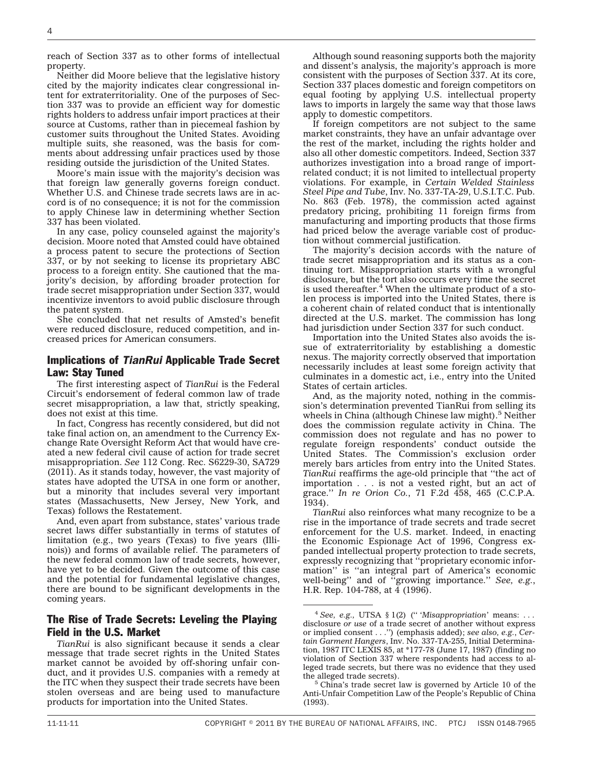reach of Section 337 as to other forms of intellectual property.

Neither did Moore believe that the legislative history cited by the majority indicates clear congressional intent for extraterritoriality. One of the purposes of Section 337 was to provide an efficient way for domestic rights holders to address unfair import practices at their source at Customs, rather than in piecemeal fashion by customer suits throughout the United States. Avoiding multiple suits, she reasoned, was the basis for comments about addressing unfair practices used by those residing outside the jurisdiction of the United States.

Moore's main issue with the majority's decision was that foreign law generally governs foreign conduct. Whether U.S. and Chinese trade secrets laws are in accord is of no consequence; it is not for the commission to apply Chinese law in determining whether Section 337 has been violated.

In any case, policy counseled against the majority's decision. Moore noted that Amsted could have obtained a process patent to secure the protections of Section 337, or by not seeking to license its proprietary ABC process to a foreign entity. She cautioned that the majority's decision, by affording broader protection for trade secret misappropriation under Section 337, would incentivize inventors to avoid public disclosure through the patent system.

She concluded that net results of Amsted's benefit were reduced disclosure, reduced competition, and increased prices for American consumers.

#### Implications of *TianRui* Applicable Trade Secret Law: Stay Tuned

The first interesting aspect of *TianRui* is the Federal Circuit's endorsement of federal common law of trade secret misappropriation, a law that, strictly speaking, does not exist at this time.

In fact, Congress has recently considered, but did not take final action on, an amendment to the Currency Exchange Rate Oversight Reform Act that would have created a new federal civil cause of action for trade secret misappropriation. *See* 112 Cong. Rec. S6229-30, SA729 (2011). As it stands today, however, the vast majority of states have adopted the UTSA in one form or another, but a minority that includes several very important states (Massachusetts, New Jersey, New York, and Texas) follows the Restatement.

And, even apart from substance, states' various trade secret laws differ substantially in terms of statutes of limitation (e.g., two years (Texas) to five years (Illinois)) and forms of available relief. The parameters of the new federal common law of trade secrets, however, have yet to be decided. Given the outcome of this case and the potential for fundamental legislative changes, there are bound to be significant developments in the coming years.

### The Rise of Trade Secrets: Leveling the Playing Field in the U.S. Market

*TianRui* is also significant because it sends a clear message that trade secret rights in the United States market cannot be avoided by off-shoring unfair conduct, and it provides U.S. companies with a remedy at the ITC when they suspect their trade secrets have been stolen overseas and are being used to manufacture products for importation into the United States.

Although sound reasoning supports both the majority and dissent's analysis, the majority's approach is more consistent with the purposes of Section 337. At its core, Section 337 places domestic and foreign competitors on equal footing by applying U.S. intellectual property laws to imports in largely the same way that those laws apply to domestic competitors.

If foreign competitors are not subject to the same market constraints, they have an unfair advantage over the rest of the market, including the rights holder and also all other domestic competitors. Indeed, Section 337 authorizes investigation into a broad range of importrelated conduct; it is not limited to intellectual property violations. For example, in *Certain Welded Stainless Steel Pipe and Tube*, Inv. No. 337-TA-29, U.S.I.T.C. Pub. No. 863 (Feb. 1978), the commission acted against predatory pricing, prohibiting 11 foreign firms from manufacturing and importing products that those firms had priced below the average variable cost of production without commercial justification.

The majority's decision accords with the nature of trade secret misappropriation and its status as a continuing tort. Misappropriation starts with a wrongful disclosure, but the tort also occurs every time the secret is used thereafter. $4$  When the ultimate product of a stolen process is imported into the United States, there is a coherent chain of related conduct that is intentionally directed at the U.S. market. The commission has long had jurisdiction under Section 337 for such conduct.

Importation into the United States also avoids the issue of extraterritoriality by establishing a domestic nexus. The majority correctly observed that importation necessarily includes at least some foreign activity that culminates in a domestic act, i.e., entry into the United States of certain articles.

And, as the majority noted, nothing in the commission's determination prevented TianRui from selling its wheels in China (although Chinese law might).<sup>5</sup> Neither does the commission regulate activity in China. The commission does not regulate and has no power to regulate foreign respondents' conduct outside the United States. The Commission's exclusion order merely bars articles from entry into the United States. *TianRui* reaffirms the age-old principle that ''the act of importation . . . is not a vested right, but an act of grace.'' *In re Orion Co.*, 71 F.2d 458, 465 (C.C.P.A. 1934).

*TianRui* also reinforces what many recognize to be a rise in the importance of trade secrets and trade secret enforcement for the U.S. market. Indeed, in enacting the Economic Espionage Act of 1996, Congress expanded intellectual property protection to trade secrets, expressly recognizing that ''proprietary economic information'' is ''an integral part of America's economic well-being'' and of ''growing importance.'' *See, e.g.*, H.R. Rep. 104-788, at 4 (1996).

<sup>4</sup> *See, e.g.,* UTSA § 1(2) ('' '*Misappropriation*' means: . . . disclosure *or use* of a trade secret of another without express or implied consent . . .'') (emphasis added); *see also, e.g.*, *Certain Garment Hangers*, Inv. No. 337-TA-255, Initial Determination, 1987 ITC LEXIS 85, at \*177-78 (June 17, 1987) (finding no violation of Section 337 where respondents had access to alleged trade secrets, but there was no evidence that they used the alleged trade secrets). <sup>5</sup> China's trade secret law is governed by Article 10 of the

Anti-Unfair Competition Law of the People's Republic of China (1993).